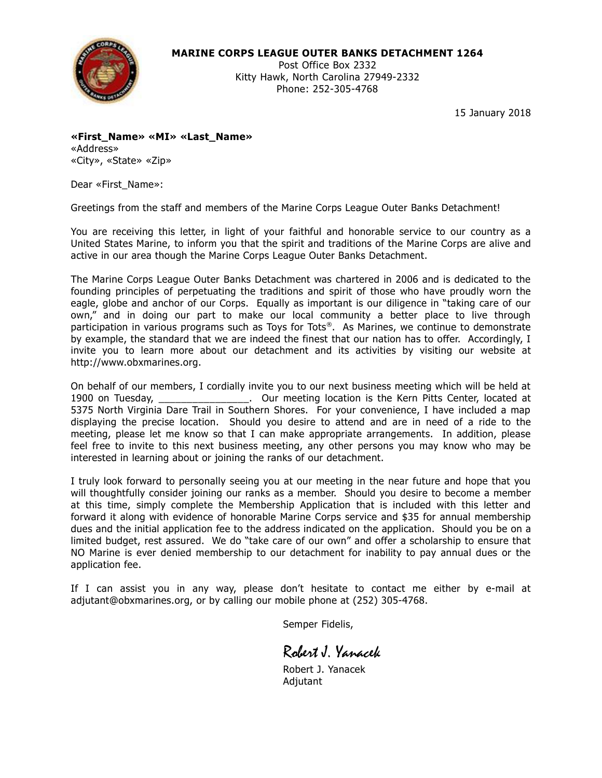

**MARINE CORPS LEAGUE OUTER BANKS DETACHMENT 1264**

Post Office Box 2332 Kitty Hawk, North Carolina 27949-2332 Phone: 252-305-4768

15 January 2018

**«First\_Name» «MI» «Last\_Name»** «Address» «City», «State» «Zip»

Dear «First\_Name»:

Greetings from the staff and members of the Marine Corps League Outer Banks Detachment!

You are receiving this letter, in light of your faithful and honorable service to our country as a United States Marine, to inform you that the spirit and traditions of the Marine Corps are alive and active in our area though the Marine Corps League Outer Banks Detachment.

The Marine Corps League Outer Banks Detachment was chartered in 2006 and is dedicated to the founding principles of perpetuating the traditions and spirit of those who have proudly worn the eagle, globe and anchor of our Corps. Equally as important is our diligence in "taking care of our own," and in doing our part to make our local community a better place to live through participation in various programs such as Toys for Tots®. As Marines, we continue to demonstrate by example, the standard that we are indeed the finest that our nation has to offer. Accordingly, I invite you to learn more about our detachment and its activities by visiting our website at http://www.obxmarines.org.

On behalf of our members, I cordially invite you to our next business meeting which will be held at 1900 on Tuesday, \_\_\_\_\_\_\_\_\_\_\_\_\_\_\_\_. Our meeting location is the Kern Pitts Center, located at 5375 North Virginia Dare Trail in Southern Shores. For your convenience, I have included a map displaying the precise location. Should you desire to attend and are in need of a ride to the meeting, please let me know so that I can make appropriate arrangements. In addition, please feel free to invite to this next business meeting, any other persons you may know who may be interested in learning about or joining the ranks of our detachment.

I truly look forward to personally seeing you at our meeting in the near future and hope that you will thoughtfully consider joining our ranks as a member. Should you desire to become a member at this time, simply complete the Membership Application that is included with this letter and forward it along with evidence of honorable Marine Corps service and \$35 for annual membership dues and the initial application fee to the address indicated on the application. Should you be on a limited budget, rest assured. We do "take care of our own" and offer a scholarship to ensure that NO Marine is ever denied membership to our detachment for inability to pay annual dues or the application fee.

If I can assist you in any way, please don't hesitate to contact me either by e-mail at adjutant@obxmarines.org, or by calling our mobile phone at (252) 305-4768.

Semper Fidelis,

Robert J. Yanacek

Robert J. Yanacek Adjutant